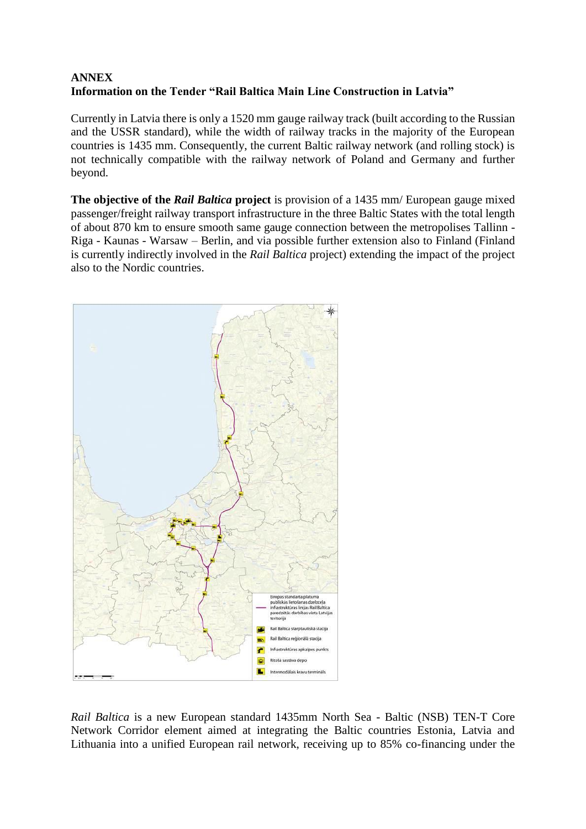## **ANNEX Information on the Tender "Rail Baltica Main Line Construction in Latvia"**

Currently in Latvia there is only a 1520 mm gauge railway track (built according to the Russian and the USSR standard), while the width of railway tracks in the majority of the European countries is 1435 mm. Consequently, the current Baltic railway network (and rolling stock) is not technically compatible with the railway network of Poland and Germany and further beyond.

**The objective of the** *Rail Baltica* **project** is provision of a 1435 mm/ European gauge mixed passenger/freight railway transport infrastructure in the three Baltic States with the total length of about 870 km to ensure smooth same gauge connection between the metropolises Tallinn - Riga - Kaunas - Warsaw – Berlin, and via possible further extension also to Finland (Finland is currently indirectly involved in the *Rail Baltica* project) extending the impact of the project also to the Nordic countries.



*Rail Baltica* is a new European standard 1435mm North Sea - Baltic (NSB) TEN-T Core Network Corridor element aimed at integrating the Baltic countries Estonia, Latvia and Lithuania into a unified European rail network, receiving up to 85% co-financing under the